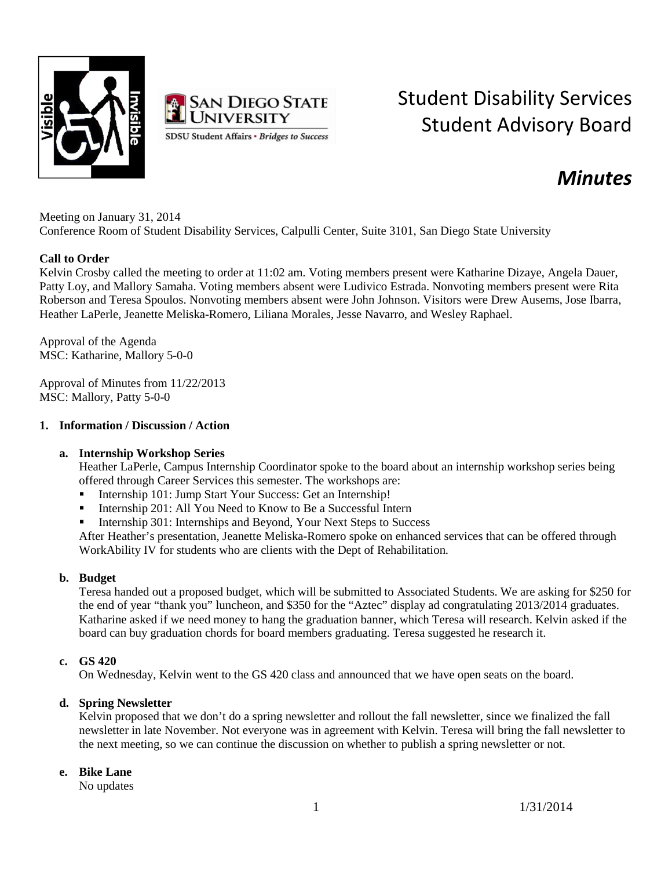



# Student Disability Services Student Advisory Board

# *Minutes*

Meeting on January 31, 2014 Conference Room of Student Disability Services, Calpulli Center, Suite 3101, San Diego State University

## **Call to Order**

Kelvin Crosby called the meeting to order at 11:02 am. Voting members present were Katharine Dizaye, Angela Dauer, Patty Loy, and Mallory Samaha. Voting members absent were Ludivico Estrada. Nonvoting members present were Rita Roberson and Teresa Spoulos. Nonvoting members absent were John Johnson. Visitors were Drew Ausems, Jose Ibarra, Heather LaPerle, Jeanette Meliska-Romero, Liliana Morales, Jesse Navarro, and Wesley Raphael.

Approval of the Agenda MSC: Katharine, Mallory 5-0-0

Approval of Minutes from 11/22/2013 MSC: Mallory, Patty 5-0-0

## **1. Information / Discussion / Action**

# **a. Internship Workshop Series**

Heather LaPerle, Campus Internship Coordinator spoke to the board about an internship workshop series being offered through Career Services this semester. The workshops are:

- Internship 101: Jump Start Your Success: Get an Internship!
- Internship 201: All You Need to Know to Be a Successful Intern
- Internship 301: Internships and Beyond, Your Next Steps to Success

After Heather's presentation, Jeanette Meliska-Romero spoke on enhanced services that can be offered through WorkAbility IV for students who are clients with the Dept of Rehabilitation.

#### **b. Budget**

Teresa handed out a proposed budget, which will be submitted to Associated Students. We are asking for \$250 for the end of year "thank you" luncheon, and \$350 for the "Aztec" display ad congratulating 2013/2014 graduates. Katharine asked if we need money to hang the graduation banner, which Teresa will research. Kelvin asked if the board can buy graduation chords for board members graduating. Teresa suggested he research it.

#### **c. GS 420**

On Wednesday, Kelvin went to the GS 420 class and announced that we have open seats on the board.

# **d. Spring Newsletter**

Kelvin proposed that we don't do a spring newsletter and rollout the fall newsletter, since we finalized the fall newsletter in late November. Not everyone was in agreement with Kelvin. Teresa will bring the fall newsletter to the next meeting, so we can continue the discussion on whether to publish a spring newsletter or not.

# **e. Bike Lane**

No updates